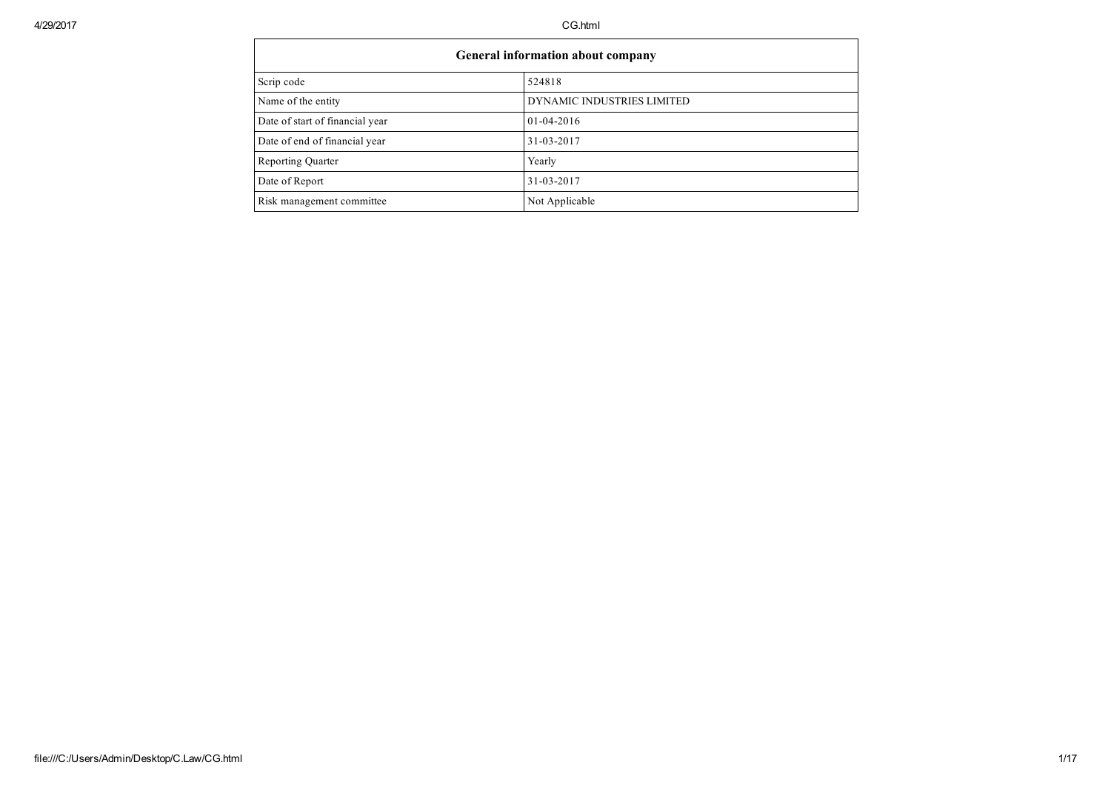$\overline{\phantom{a}}$ 

| General information about company |                            |  |  |  |  |  |  |
|-----------------------------------|----------------------------|--|--|--|--|--|--|
| Scrip code                        | 524818                     |  |  |  |  |  |  |
| Name of the entity                | DYNAMIC INDUSTRIES LIMITED |  |  |  |  |  |  |
| Date of start of financial year   | $01 - 04 - 2016$           |  |  |  |  |  |  |
| Date of end of financial year     | 31-03-2017                 |  |  |  |  |  |  |
| <b>Reporting Quarter</b>          | Yearly                     |  |  |  |  |  |  |
| Date of Report                    | 31-03-2017                 |  |  |  |  |  |  |
| Risk management committee         | Not Applicable             |  |  |  |  |  |  |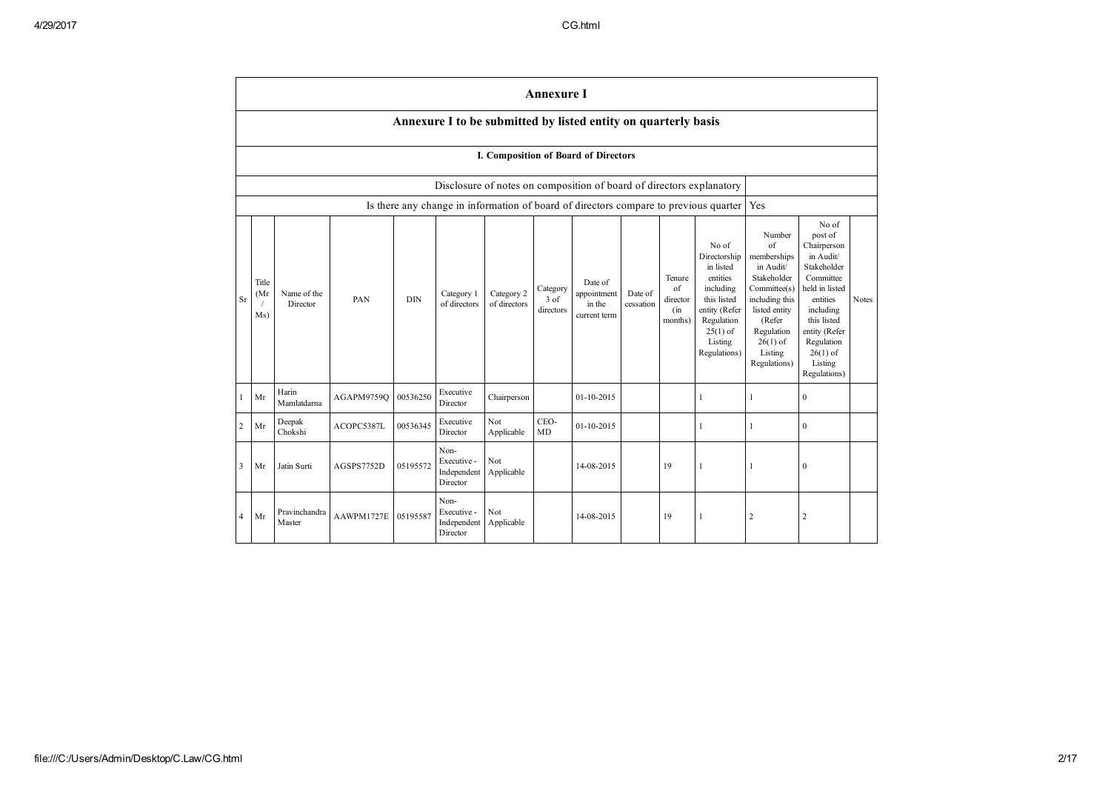|           | <b>Annexure I</b>                                              |                         |            |            |                                                |                            |                                 |                                                                      |                      |                                            |                                                                                                                                                    |                                                                                                                                                                             |                                                                                                                                                                                                            |              |
|-----------|----------------------------------------------------------------|-------------------------|------------|------------|------------------------------------------------|----------------------------|---------------------------------|----------------------------------------------------------------------|----------------------|--------------------------------------------|----------------------------------------------------------------------------------------------------------------------------------------------------|-----------------------------------------------------------------------------------------------------------------------------------------------------------------------------|------------------------------------------------------------------------------------------------------------------------------------------------------------------------------------------------------------|--------------|
|           | Annexure I to be submitted by listed entity on quarterly basis |                         |            |            |                                                |                            |                                 |                                                                      |                      |                                            |                                                                                                                                                    |                                                                                                                                                                             |                                                                                                                                                                                                            |              |
|           | I. Composition of Board of Directors                           |                         |            |            |                                                |                            |                                 |                                                                      |                      |                                            |                                                                                                                                                    |                                                                                                                                                                             |                                                                                                                                                                                                            |              |
|           |                                                                |                         |            |            |                                                |                            |                                 | Disclosure of notes on composition of board of directors explanatory |                      |                                            |                                                                                                                                                    |                                                                                                                                                                             |                                                                                                                                                                                                            |              |
|           |                                                                |                         |            |            |                                                |                            |                                 |                                                                      |                      |                                            | Is there any change in information of board of directors compare to previous quarter                                                               | Yes                                                                                                                                                                         |                                                                                                                                                                                                            |              |
| <b>Sr</b> | Title<br>(Mr<br>Ms)                                            | Name of the<br>Director | PAN        | <b>DIN</b> | Category 1<br>of directors                     | Category 2<br>of directors | Category<br>$3$ of<br>directors | Date of<br>appointment<br>in the<br>current term                     | Date of<br>cessation | Tenure<br>of<br>director<br>(in<br>months) | No of<br>Directorship<br>in listed<br>entities<br>including<br>this listed<br>entity (Refer<br>Regulation<br>$25(1)$ of<br>Listing<br>Regulations) | Number<br>of<br>memberships<br>in Audit/<br>Stakeholder<br>Committee(s)<br>including this<br>listed entity<br>(Refer<br>Regulation<br>$26(1)$ of<br>Listing<br>Regulations) | No of<br>post of<br>Chairperson<br>in Audit/<br>Stakeholder<br>Committee<br>held in listed<br>entities<br>including<br>this listed<br>entity (Refer<br>Regulation<br>$26(1)$ of<br>Listing<br>Regulations) | <b>Notes</b> |
|           | Mr                                                             | Harin<br>Mamlatdarna    | AGAPM9759O | 00536250   | Executive<br>Director                          | Chairperson                |                                 | 01-10-2015                                                           |                      |                                            | $\mathbf{1}$                                                                                                                                       | 1                                                                                                                                                                           | $\mathbf{0}$                                                                                                                                                                                               |              |
| 2         | Mr                                                             | Deepak<br>Chokshi       | ACOPC5387L | 00536345   | Executive<br>Director                          | Not<br>Applicable          | CEO-<br>MD                      | 01-10-2015                                                           |                      |                                            | 1                                                                                                                                                  | 1                                                                                                                                                                           | $\mathbf{0}$                                                                                                                                                                                               |              |
| 3         | Mr                                                             | Jatin Surti             | AGSPS7752D | 05195572   | Non-<br>Executive -<br>Independent<br>Director | Not<br>Applicable          |                                 | 14-08-2015                                                           |                      | 19                                         |                                                                                                                                                    |                                                                                                                                                                             | $\mathbf{0}$                                                                                                                                                                                               |              |
| 4         | Mr                                                             | Pravinchandra<br>Master | AAWPM1727E | 05195587   | Non-<br>Executive -<br>Independent<br>Director | Not<br>Applicable          |                                 | 14-08-2015                                                           |                      | 19                                         | 1                                                                                                                                                  | 2                                                                                                                                                                           | $\overline{c}$                                                                                                                                                                                             |              |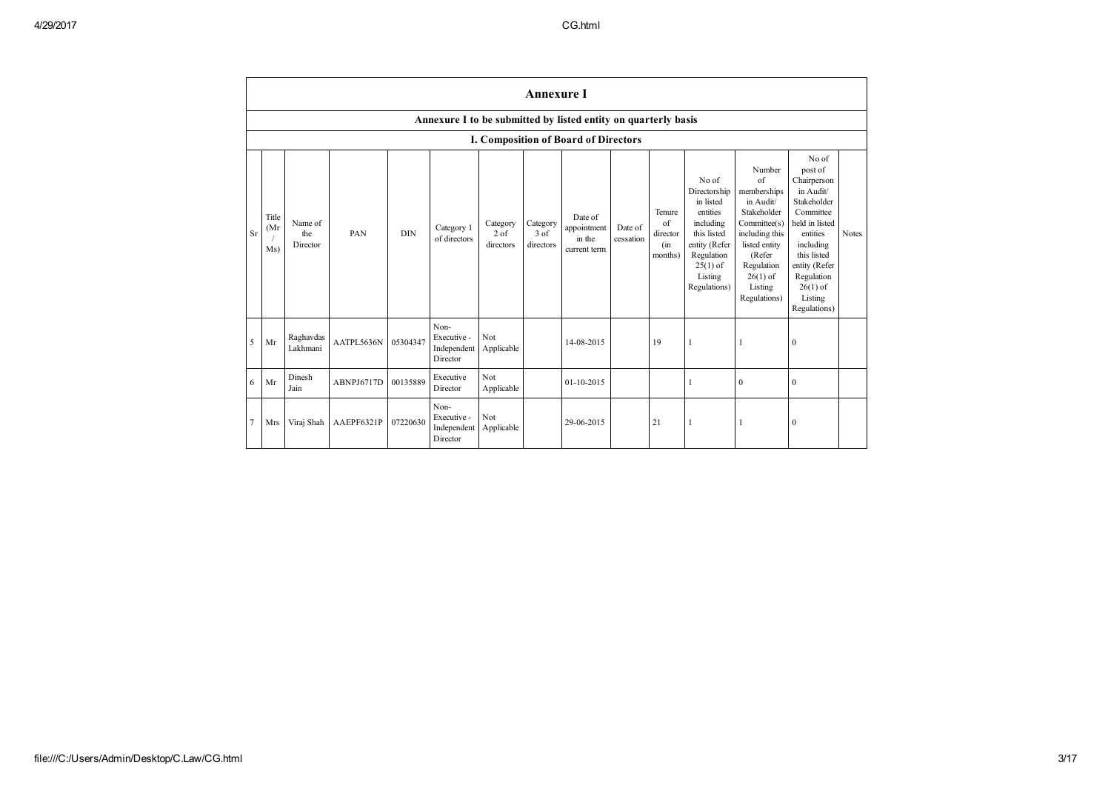|                | <b>Annexure I</b>                                              |                            |            |            |                                                |                                 |                                 |                                                  |                      |                                            |                                                                                                                                                    |                                                                                                                                                                                     |                                                                                                                                                                                                            |       |
|----------------|----------------------------------------------------------------|----------------------------|------------|------------|------------------------------------------------|---------------------------------|---------------------------------|--------------------------------------------------|----------------------|--------------------------------------------|----------------------------------------------------------------------------------------------------------------------------------------------------|-------------------------------------------------------------------------------------------------------------------------------------------------------------------------------------|------------------------------------------------------------------------------------------------------------------------------------------------------------------------------------------------------------|-------|
|                | Annexure I to be submitted by listed entity on quarterly basis |                            |            |            |                                                |                                 |                                 |                                                  |                      |                                            |                                                                                                                                                    |                                                                                                                                                                                     |                                                                                                                                                                                                            |       |
|                | I. Composition of Board of Directors                           |                            |            |            |                                                |                                 |                                 |                                                  |                      |                                            |                                                                                                                                                    |                                                                                                                                                                                     |                                                                                                                                                                                                            |       |
| <b>Sr</b>      | Title<br>(Mr)<br>Ms)                                           | Name of<br>the<br>Director | PAN        | <b>DIN</b> | Category 1<br>of directors                     | Category<br>$2$ of<br>directors | Category<br>$3$ of<br>directors | Date of<br>appointment<br>in the<br>current term | Date of<br>cessation | Tenure<br>of<br>director<br>(in<br>months) | No of<br>Directorship<br>in listed<br>entities<br>including<br>this listed<br>entity (Refer<br>Regulation<br>$25(1)$ of<br>Listing<br>Regulations) | Number<br>$\sigma$ f<br>memberships<br>in Audit/<br>Stakeholder<br>Committee(s)<br>including this<br>listed entity<br>(Refer<br>Regulation<br>$26(1)$ of<br>Listing<br>Regulations) | No of<br>post of<br>Chairperson<br>in Audit/<br>Stakeholder<br>Committee<br>held in listed<br>entities<br>including<br>this listed<br>entity (Refer<br>Regulation<br>$26(1)$ of<br>Listing<br>Regulations) | Notes |
| 5              | Mr                                                             | Raghavdas<br>Lakhmani      | AATPL5636N | 05304347   | Non-<br>Executive -<br>Independent<br>Director | Not<br>Applicable               |                                 | 14-08-2015                                       |                      | 19                                         |                                                                                                                                                    |                                                                                                                                                                                     | $\mathbf{0}$                                                                                                                                                                                               |       |
| 6              | Mr                                                             | Dinesh<br>Jain             | ABNPJ6717D | 00135889   | Executive<br>Director                          | Not<br>Applicable               |                                 | 01-10-2015                                       |                      |                                            |                                                                                                                                                    | $\mathbf{0}$                                                                                                                                                                        | $\mathbf{0}$                                                                                                                                                                                               |       |
| $\overline{7}$ | Mrs                                                            | Viraj Shah                 | AAEPF6321P | 07220630   | Non-<br>Executive -<br>Independent<br>Director | Not<br>Applicable               |                                 | 29-06-2015                                       |                      | 21                                         | $\mathbf{1}$                                                                                                                                       |                                                                                                                                                                                     | $\mathbf{0}$                                                                                                                                                                                               |       |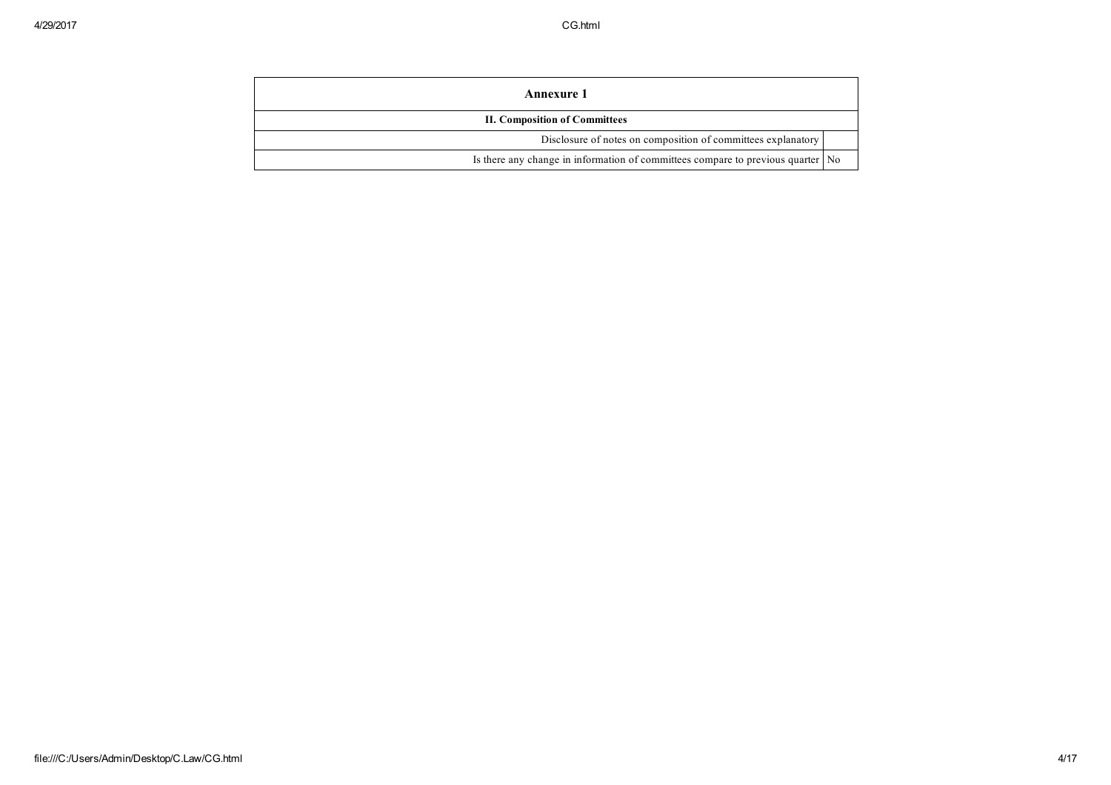| <b>Annexure 1</b>                                                               |  |
|---------------------------------------------------------------------------------|--|
| <b>II. Composition of Committees</b>                                            |  |
| Disclosure of notes on composition of committees explanatory                    |  |
| Is there any change in information of committees compare to previous quarter No |  |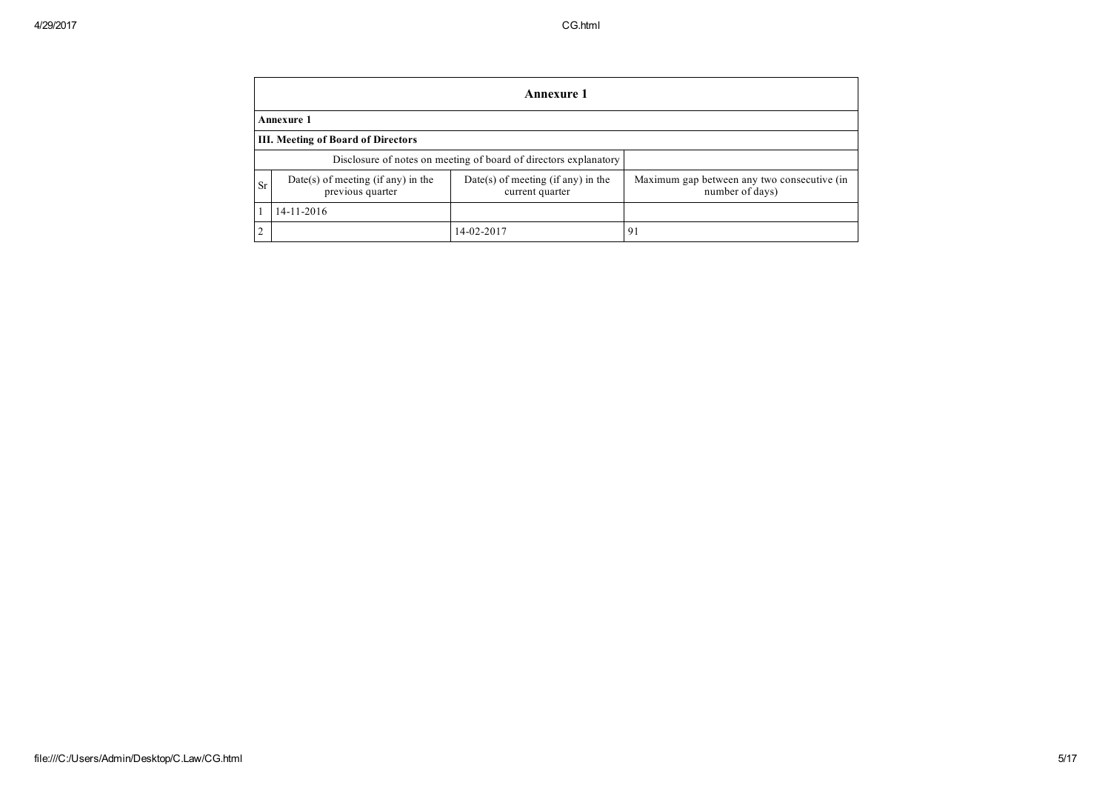|                | <b>Annexure 1</b>                                      |                                                                  |                                                                |  |  |  |  |  |  |  |  |
|----------------|--------------------------------------------------------|------------------------------------------------------------------|----------------------------------------------------------------|--|--|--|--|--|--|--|--|
|                | <b>Annexure 1</b>                                      |                                                                  |                                                                |  |  |  |  |  |  |  |  |
|                | <b>III.</b> Meeting of Board of Directors              |                                                                  |                                                                |  |  |  |  |  |  |  |  |
|                |                                                        | Disclosure of notes on meeting of board of directors explanatory |                                                                |  |  |  |  |  |  |  |  |
| <b>Sr</b>      | Date(s) of meeting (if any) in the<br>previous quarter | $Date(s)$ of meeting (if any) in the<br>current quarter          | Maximum gap between any two consecutive (in<br>number of days) |  |  |  |  |  |  |  |  |
|                | 14-11-2016                                             |                                                                  |                                                                |  |  |  |  |  |  |  |  |
| $\overline{2}$ |                                                        | 14-02-2017                                                       | -91                                                            |  |  |  |  |  |  |  |  |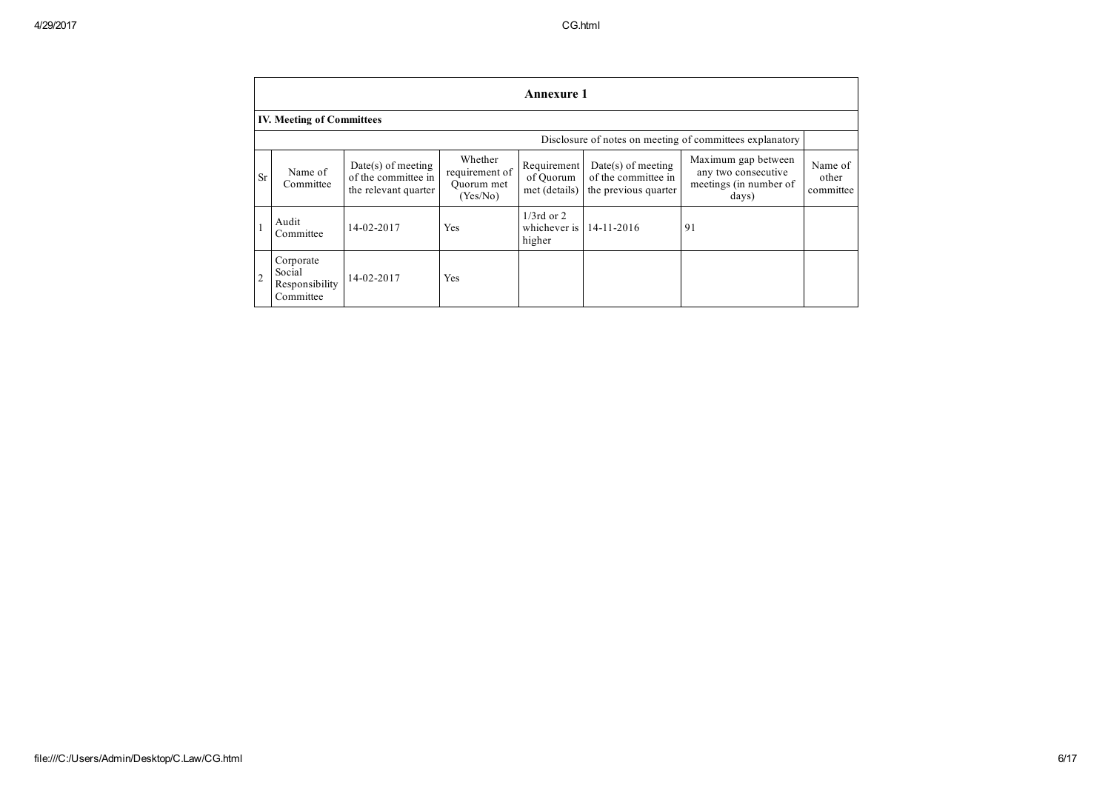|                | Annexure 1                                         |                                                                     |                                                     |                                           |                                                                     |                                                                               |                               |  |  |  |  |  |  |  |
|----------------|----------------------------------------------------|---------------------------------------------------------------------|-----------------------------------------------------|-------------------------------------------|---------------------------------------------------------------------|-------------------------------------------------------------------------------|-------------------------------|--|--|--|--|--|--|--|
|                | <b>IV. Meeting of Committees</b>                   |                                                                     |                                                     |                                           |                                                                     |                                                                               |                               |  |  |  |  |  |  |  |
|                |                                                    |                                                                     |                                                     |                                           |                                                                     | Disclosure of notes on meeting of committees explanatory                      |                               |  |  |  |  |  |  |  |
| <b>Sr</b>      | Name of<br>Committee                               | $Date(s)$ of meeting<br>of the committee in<br>the relevant quarter | Whether<br>requirement of<br>Quorum met<br>(Yes/No) | Requirement<br>of Quorum<br>met (details) | $Date(s)$ of meeting<br>of the committee in<br>the previous quarter | Maximum gap between<br>any two consecutive<br>meetings (in number of<br>days) | Name of<br>other<br>committee |  |  |  |  |  |  |  |
|                | Audit<br>Committee                                 | 14-02-2017                                                          | Yes                                                 | $1/3$ rd or 2<br>whichever is<br>higher   | $14 - 11 - 2016$                                                    | 91                                                                            |                               |  |  |  |  |  |  |  |
| $\overline{2}$ | Corporate<br>Social<br>Responsibility<br>Committee | 14-02-2017                                                          | Yes                                                 |                                           |                                                                     |                                                                               |                               |  |  |  |  |  |  |  |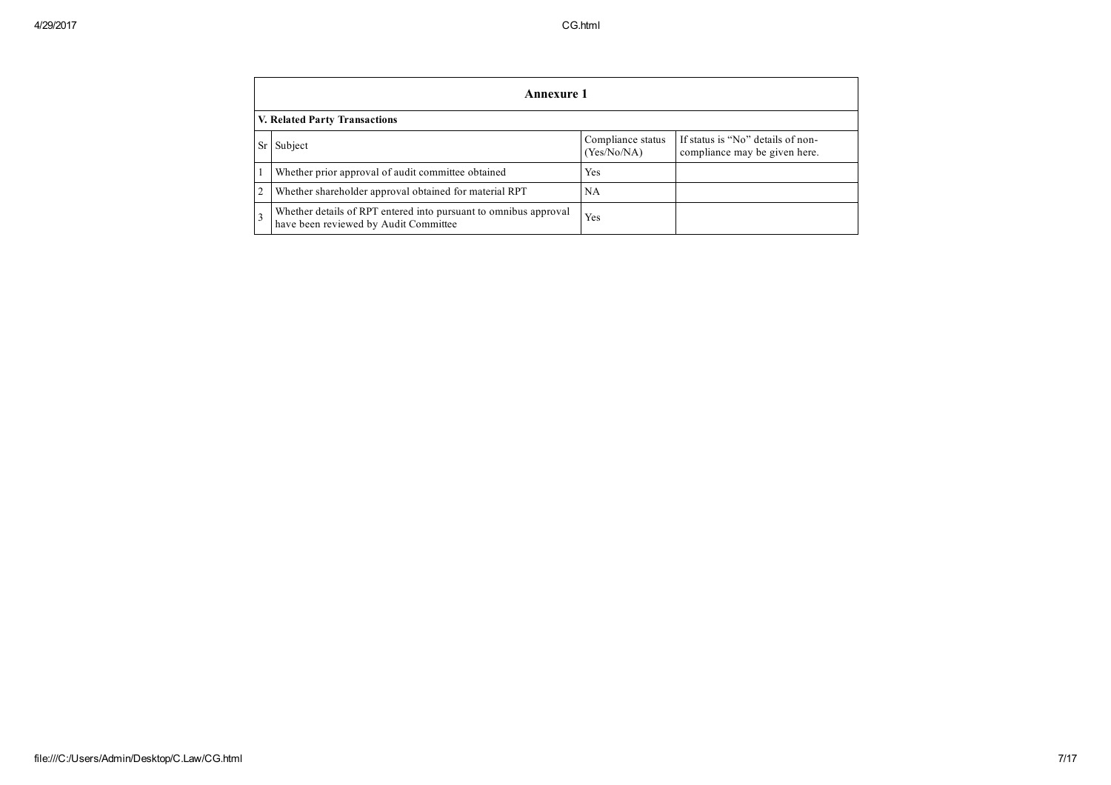|                | <b>Annexure 1</b>                                                                                         |                                  |                                                                    |  |  |  |  |  |  |  |  |
|----------------|-----------------------------------------------------------------------------------------------------------|----------------------------------|--------------------------------------------------------------------|--|--|--|--|--|--|--|--|
|                | V. Related Party Transactions                                                                             |                                  |                                                                    |  |  |  |  |  |  |  |  |
| Sr             | Subject                                                                                                   | Compliance status<br>(Yes/No/NA) | If status is "No" details of non-<br>compliance may be given here. |  |  |  |  |  |  |  |  |
|                | Whether prior approval of audit committee obtained                                                        | Yes                              |                                                                    |  |  |  |  |  |  |  |  |
| $\overline{2}$ | Whether shareholder approval obtained for material RPT                                                    | NA                               |                                                                    |  |  |  |  |  |  |  |  |
|                | Whether details of RPT entered into pursuant to omnibus approval<br>have been reviewed by Audit Committee | Yes                              |                                                                    |  |  |  |  |  |  |  |  |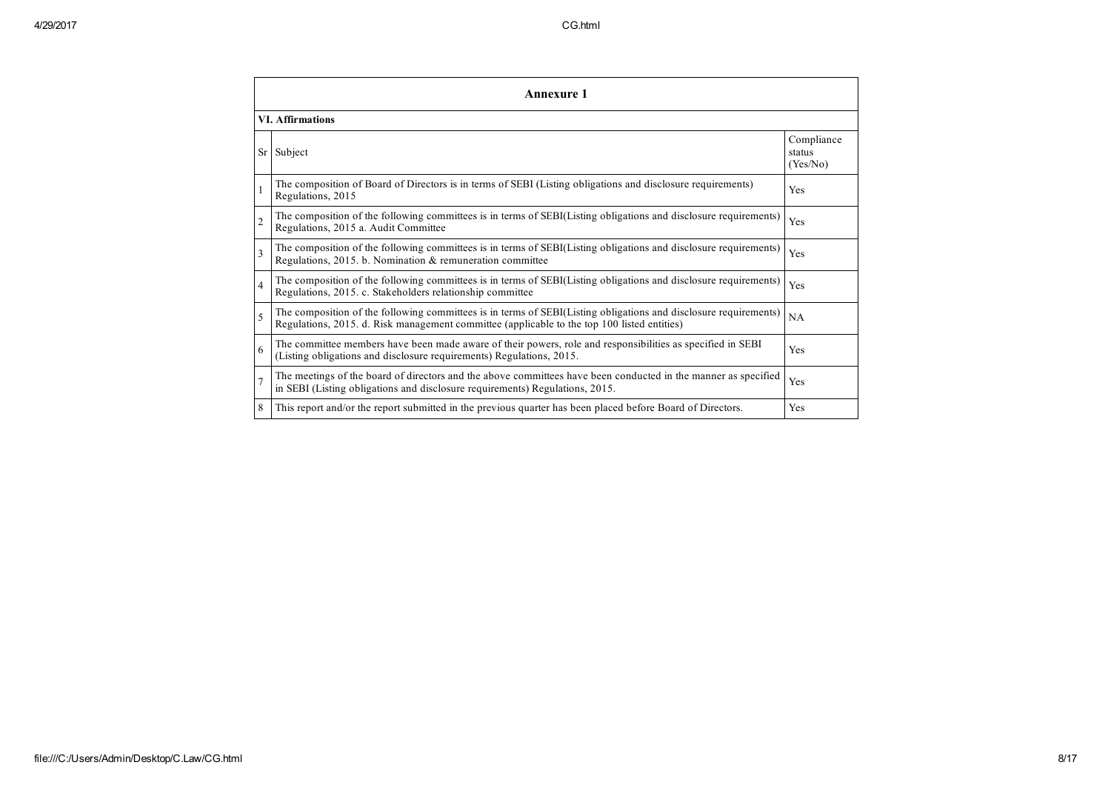|                         | <b>Annexure 1</b>                                                                                                                                                                                               |                                  |
|-------------------------|-----------------------------------------------------------------------------------------------------------------------------------------------------------------------------------------------------------------|----------------------------------|
|                         | <b>VI.</b> Affirmations                                                                                                                                                                                         |                                  |
|                         | Sr Subject                                                                                                                                                                                                      | Compliance<br>status<br>(Yes/No) |
|                         | The composition of Board of Directors is in terms of SEBI (Listing obligations and disclosure requirements)<br>Regulations, 2015                                                                                | Yes                              |
| $\overline{c}$          | The composition of the following committees is in terms of SEBI(Listing obligations and disclosure requirements)<br>Regulations, 2015 a. Audit Committee                                                        | Yes                              |
| $\overline{\mathbf{3}}$ | The composition of the following committees is in terms of SEBI(Listing obligations and disclosure requirements)<br>Regulations, 2015. b. Nomination & remuneration committee                                   | Yes                              |
| $\overline{4}$          | The composition of the following committees is in terms of SEBI(Listing obligations and disclosure requirements)<br>Regulations, 2015. c. Stakeholders relationship committee                                   | Yes                              |
| $\varsigma$             | The composition of the following committees is in terms of SEBI(Listing obligations and disclosure requirements)<br>Regulations, 2015. d. Risk management committee (applicable to the top 100 listed entities) | NA                               |
| 6                       | The committee members have been made aware of their powers, role and responsibilities as specified in SEBI<br>(Listing obligations and disclosure requirements) Regulations, 2015.                              | Yes                              |
| $\overline{7}$          | The meetings of the board of directors and the above committees have been conducted in the manner as specified<br>in SEBI (Listing obligations and disclosure requirements) Regulations, 2015.                  | Yes                              |
| 8                       | This report and/or the report submitted in the previous quarter has been placed before Board of Directors.                                                                                                      | Yes                              |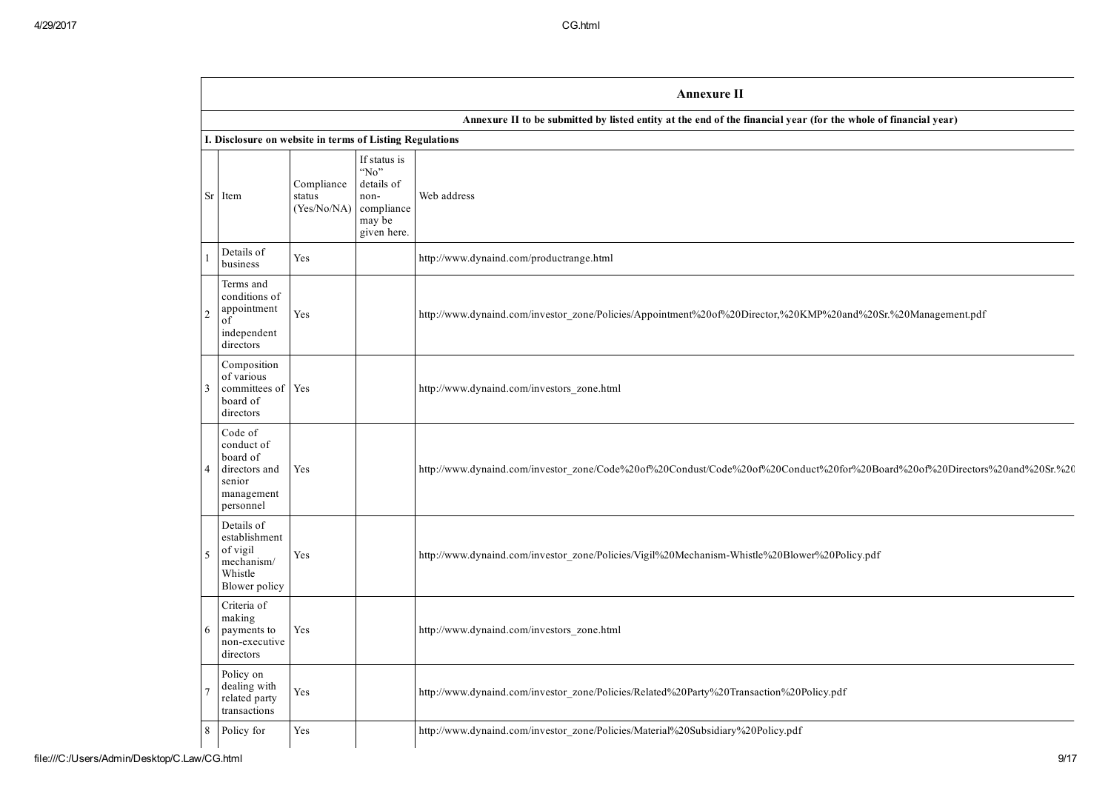|                                                          |                                                                                         |                                     |                                                                                   | <b>Annexure II</b>                                                                                                         |  |  |  |  |  |  |
|----------------------------------------------------------|-----------------------------------------------------------------------------------------|-------------------------------------|-----------------------------------------------------------------------------------|----------------------------------------------------------------------------------------------------------------------------|--|--|--|--|--|--|
|                                                          |                                                                                         |                                     |                                                                                   | Annexure II to be submitted by listed entity at the end of the financial year (for the whole of financial year)            |  |  |  |  |  |  |
| I. Disclosure on website in terms of Listing Regulations |                                                                                         |                                     |                                                                                   |                                                                                                                            |  |  |  |  |  |  |
|                                                          | Sr Item                                                                                 | Compliance<br>status<br>(Yes/No/NA) | If status is<br>"No"<br>details of<br>non-<br>compliance<br>may be<br>given here. | Web address                                                                                                                |  |  |  |  |  |  |
|                                                          | Details of<br>business                                                                  | Yes                                 |                                                                                   | http://www.dynaind.com/productrange.html                                                                                   |  |  |  |  |  |  |
| $\overline{c}$                                           | Terms and<br>conditions of<br>appointment<br>of<br>independent<br>directors             | Yes                                 |                                                                                   | http://www.dynaind.com/investor_zone/Policies/Appointment%20of%20Director,%20KMP%20and%20Sr.%20Management.pdf              |  |  |  |  |  |  |
| 3                                                        | Composition<br>of various<br>committees of Yes<br>board of<br>directors                 |                                     |                                                                                   | http://www.dynaind.com/investors_zone.html                                                                                 |  |  |  |  |  |  |
| 4                                                        | Code of<br>conduct of<br>board of<br>directors and<br>senior<br>management<br>personnel | Yes                                 |                                                                                   | http://www.dynaind.com/investor_zone/Code%20of%20Condust/Code%20of%20Conduct%20for%20Board%20of%20Directors%20and%20Sr.%20 |  |  |  |  |  |  |
| $\varsigma$                                              | Details of<br>establishment<br>of vigil<br>mechanism/<br>Whistle<br>Blower policy       | Yes                                 |                                                                                   | http://www.dynaind.com/investor_zone/Policies/Vigil%20Mechanism-Whistle%20Blower%20Policy.pdf                              |  |  |  |  |  |  |
| 6                                                        | Criteria of<br>making<br>payments to<br>non-executive<br>directors                      | Yes                                 |                                                                                   | http://www.dynaind.com/investors_zone.html                                                                                 |  |  |  |  |  |  |
|                                                          | Policy on<br>dealing with<br>related party<br>transactions                              | Yes                                 |                                                                                   | http://www.dynaind.com/investor_zone/Policies/Related%20Party%20Transaction%20Policy.pdf                                   |  |  |  |  |  |  |
| 8                                                        | Policy for                                                                              | Yes                                 |                                                                                   | http://www.dynaind.com/investor_zone/Policies/Material%20Subsidiary%20Policy.pdf                                           |  |  |  |  |  |  |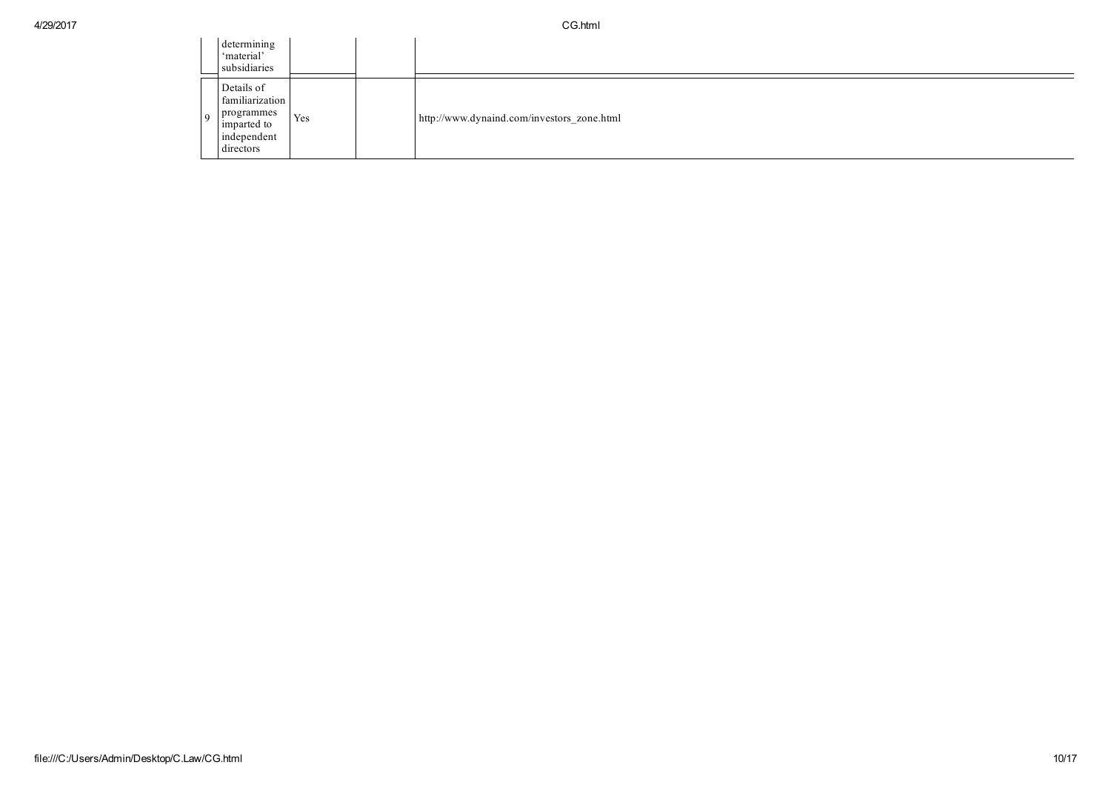|   | determining<br>'material'<br>subsidiaries                                              |     |                                            |
|---|----------------------------------------------------------------------------------------|-----|--------------------------------------------|
| Q | Details of<br>familiarization<br>programmes<br>imparted to<br>independent<br>directors | Yes | http://www.dynaind.com/investors_zone.html |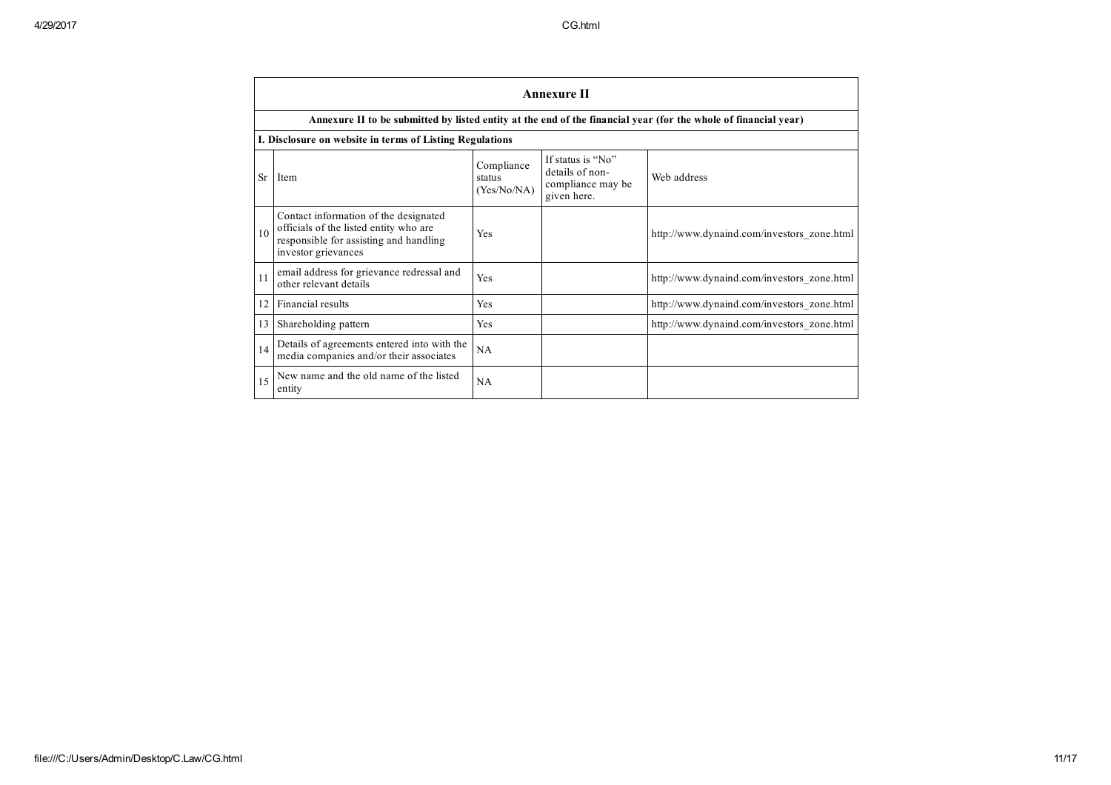|           |                                                                                                                                                  |                                     | <b>Annexure II</b>                                                       |                                            |  |  |  |  |  |  |  |  |  |
|-----------|--------------------------------------------------------------------------------------------------------------------------------------------------|-------------------------------------|--------------------------------------------------------------------------|--------------------------------------------|--|--|--|--|--|--|--|--|--|
|           | Annexure II to be submitted by listed entity at the end of the financial year (for the whole of financial year)                                  |                                     |                                                                          |                                            |  |  |  |  |  |  |  |  |  |
|           | I. Disclosure on website in terms of Listing Regulations                                                                                         |                                     |                                                                          |                                            |  |  |  |  |  |  |  |  |  |
| <b>Sr</b> | Item                                                                                                                                             | Compliance<br>status<br>(Yes/No/NA) | If status is "No"<br>details of non-<br>compliance may be<br>given here. | Web address                                |  |  |  |  |  |  |  |  |  |
| 10        | Contact information of the designated<br>officials of the listed entity who are<br>responsible for assisting and handling<br>investor grievances | Yes                                 |                                                                          | http://www.dynaind.com/investors_zone.html |  |  |  |  |  |  |  |  |  |
| 11        | email address for grievance redressal and<br>other relevant details                                                                              | Yes                                 |                                                                          | http://www.dynaind.com/investors_zone.html |  |  |  |  |  |  |  |  |  |
| 12        | Financial results                                                                                                                                | Yes                                 |                                                                          | http://www.dynaind.com/investors_zone.html |  |  |  |  |  |  |  |  |  |
| 13        | Shareholding pattern                                                                                                                             | Yes                                 |                                                                          | http://www.dynaind.com/investors_zone.html |  |  |  |  |  |  |  |  |  |
| 14        | Details of agreements entered into with the<br>media companies and/or their associates                                                           | NA                                  |                                                                          |                                            |  |  |  |  |  |  |  |  |  |
| 15        | New name and the old name of the listed<br>entity                                                                                                | NA                                  |                                                                          |                                            |  |  |  |  |  |  |  |  |  |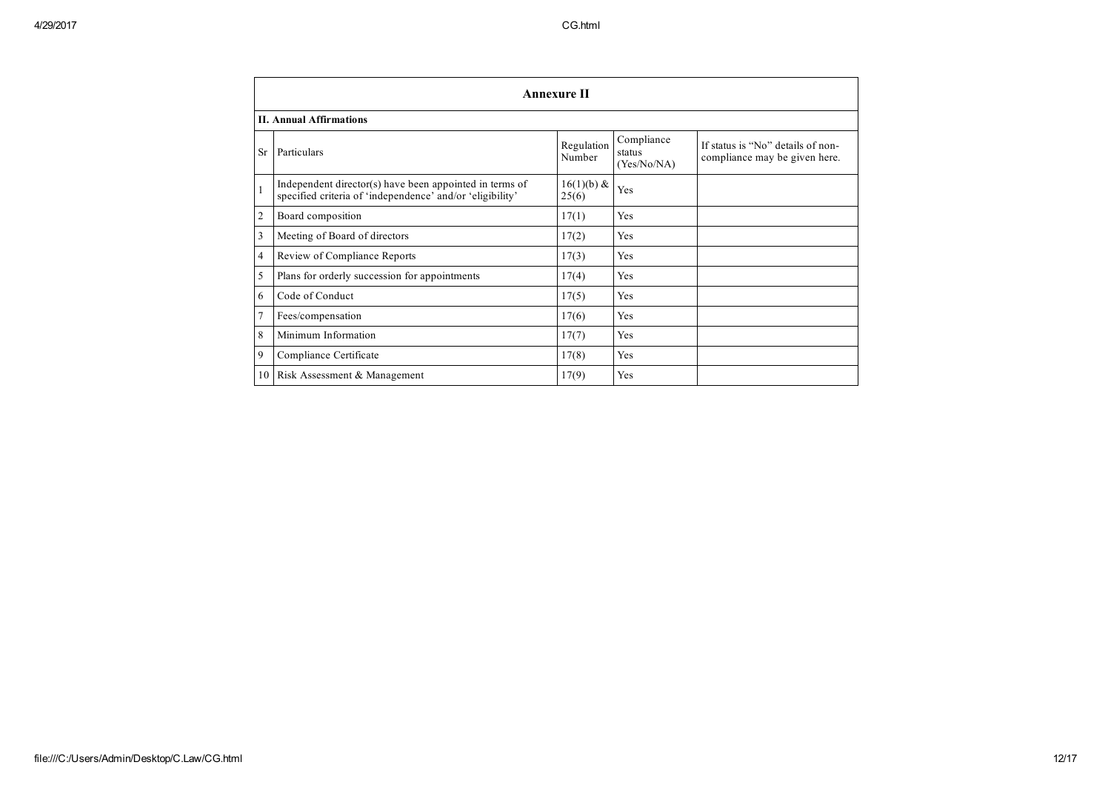|              | <b>Annexure II</b>                                                                                                   |                      |                                     |                                                                    |  |  |  |  |  |  |  |  |
|--------------|----------------------------------------------------------------------------------------------------------------------|----------------------|-------------------------------------|--------------------------------------------------------------------|--|--|--|--|--|--|--|--|
|              | <b>II. Annual Affirmations</b>                                                                                       |                      |                                     |                                                                    |  |  |  |  |  |  |  |  |
| <b>Sr</b>    | Particulars                                                                                                          | Regulation<br>Number | Compliance<br>status<br>(Yes/No/NA) | If status is "No" details of non-<br>compliance may be given here. |  |  |  |  |  |  |  |  |
| $\mathbf{1}$ | Independent director(s) have been appointed in terms of<br>specified criteria of 'independence' and/or 'eligibility' | 16(1)(b) &<br>25(6)  | Yes                                 |                                                                    |  |  |  |  |  |  |  |  |
| 2            | Board composition                                                                                                    | 17(1)                | Yes                                 |                                                                    |  |  |  |  |  |  |  |  |
| 3            | Meeting of Board of directors                                                                                        | 17(2)                | Yes                                 |                                                                    |  |  |  |  |  |  |  |  |
| 4            | Review of Compliance Reports                                                                                         | 17(3)                | Yes                                 |                                                                    |  |  |  |  |  |  |  |  |
| 5            | Plans for orderly succession for appointments                                                                        | 17(4)                | Yes                                 |                                                                    |  |  |  |  |  |  |  |  |
| 6            | Code of Conduct                                                                                                      | 17(5)                | Yes                                 |                                                                    |  |  |  |  |  |  |  |  |
| $\tau$       | Fees/compensation                                                                                                    | 17(6)                | Yes                                 |                                                                    |  |  |  |  |  |  |  |  |
| 8            | Minimum Information                                                                                                  | 17(7)                | Yes                                 |                                                                    |  |  |  |  |  |  |  |  |
| 9            | Compliance Certificate                                                                                               | 17(8)                | Yes                                 |                                                                    |  |  |  |  |  |  |  |  |
|              | 10 Risk Assessment & Management                                                                                      | 17(9)                | Yes                                 |                                                                    |  |  |  |  |  |  |  |  |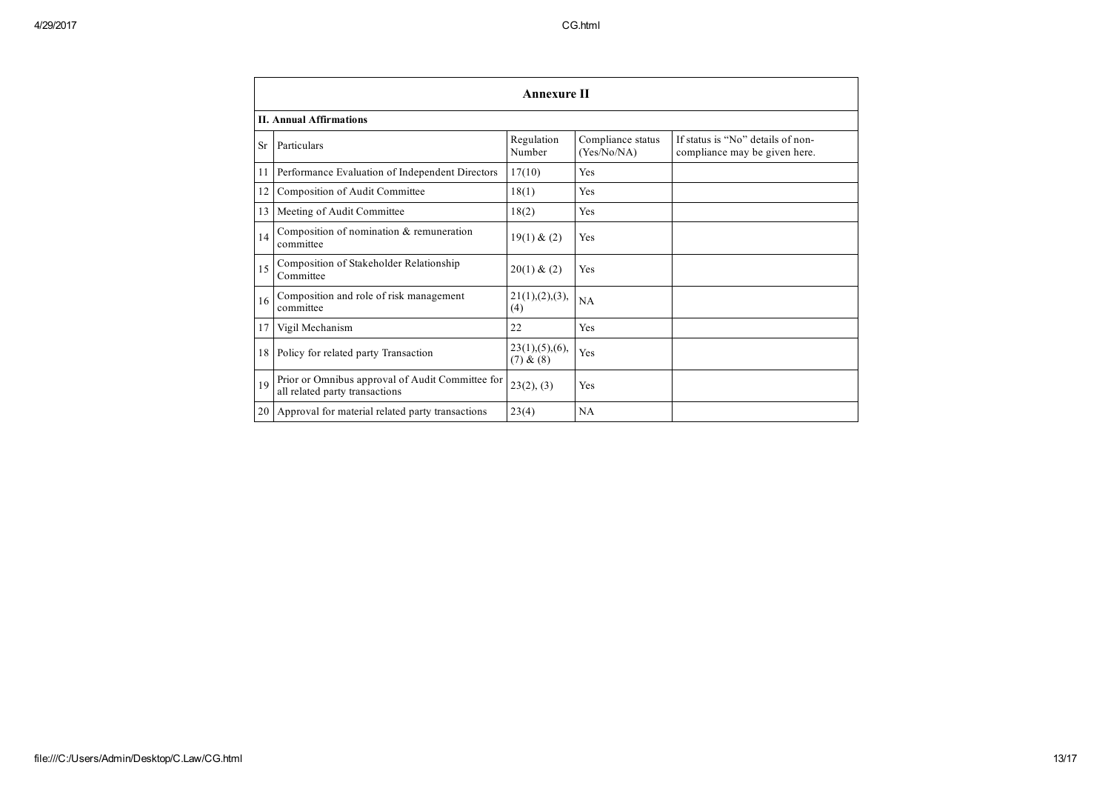| <b>Annexure II</b>             |                                                                                    |                               |                                  |                                                                    |  |  |  |  |
|--------------------------------|------------------------------------------------------------------------------------|-------------------------------|----------------------------------|--------------------------------------------------------------------|--|--|--|--|
| <b>II. Annual Affirmations</b> |                                                                                    |                               |                                  |                                                                    |  |  |  |  |
| <b>Sr</b>                      | Particulars                                                                        | Regulation<br>Number          | Compliance status<br>(Yes/No/NA) | If status is "No" details of non-<br>compliance may be given here. |  |  |  |  |
| 11                             | Performance Evaluation of Independent Directors                                    | 17(10)                        | Yes                              |                                                                    |  |  |  |  |
| 12                             | Composition of Audit Committee                                                     | 18(1)                         | Yes                              |                                                                    |  |  |  |  |
| 13                             | Meeting of Audit Committee                                                         | 18(2)                         | Yes                              |                                                                    |  |  |  |  |
| 14                             | Composition of nomination & remuneration<br>committee                              | 19(1) & (2)                   | Yes                              |                                                                    |  |  |  |  |
| 15                             | Composition of Stakeholder Relationship<br>Committee                               | 20(1) & (2)                   | Yes                              |                                                                    |  |  |  |  |
| 16                             | Composition and role of risk management<br>committee                               | 21(1), (2), (3),<br>(4)       | NA                               |                                                                    |  |  |  |  |
| 17                             | Vigil Mechanism                                                                    | 22                            | Yes                              |                                                                    |  |  |  |  |
| 18                             | Policy for related party Transaction                                               | 23(1), (5), (6),<br>(7) & (8) | Yes                              |                                                                    |  |  |  |  |
| 19                             | Prior or Omnibus approval of Audit Committee for<br>all related party transactions | 23(2), (3)                    | Yes                              |                                                                    |  |  |  |  |
| 20                             | Approval for material related party transactions                                   | 23(4)                         | NA                               |                                                                    |  |  |  |  |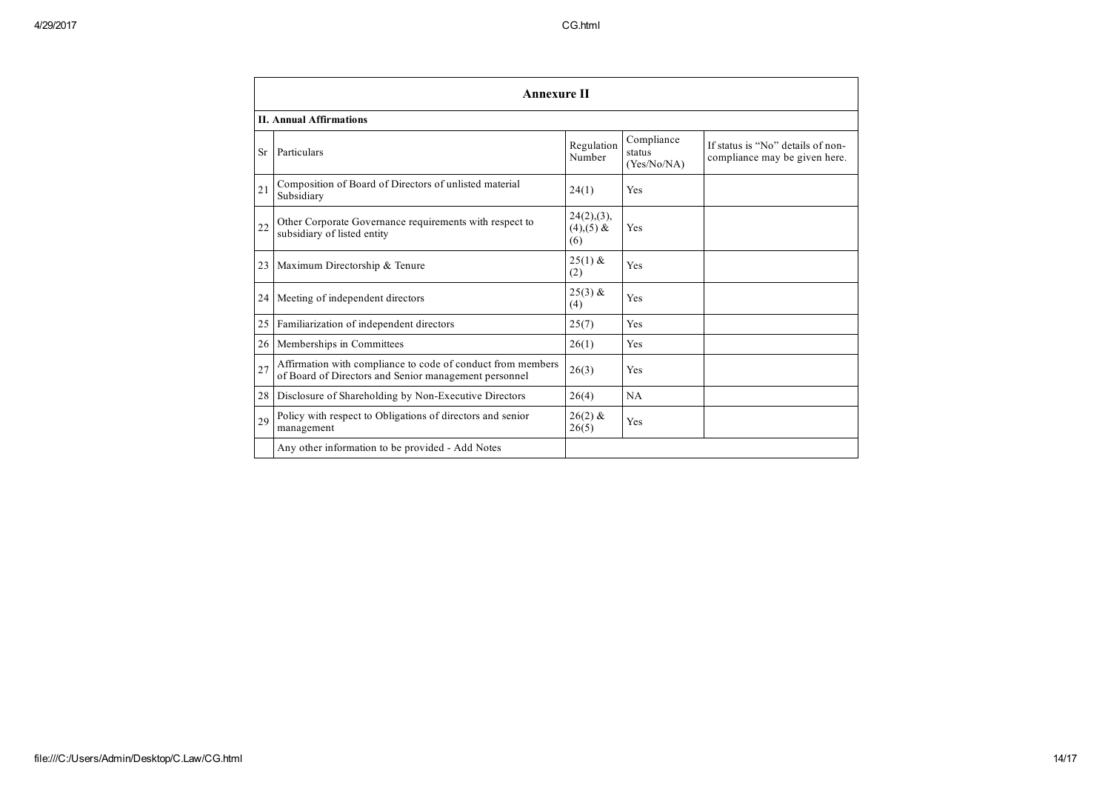|                                | <b>Annexure II</b>                                                                                                   |                                       |                                     |                                                                    |  |  |  |
|--------------------------------|----------------------------------------------------------------------------------------------------------------------|---------------------------------------|-------------------------------------|--------------------------------------------------------------------|--|--|--|
| <b>II. Annual Affirmations</b> |                                                                                                                      |                                       |                                     |                                                                    |  |  |  |
| <b>Sr</b>                      | Particulars                                                                                                          | Regulation<br>Number                  | Compliance<br>status<br>(Yes/No/NA) | If status is "No" details of non-<br>compliance may be given here. |  |  |  |
| 21                             | Composition of Board of Directors of unlisted material<br>Subsidiary                                                 | 24(1)                                 | Yes                                 |                                                                    |  |  |  |
| 22                             | Other Corporate Governance requirements with respect to<br>subsidiary of listed entity                               | 24(2), (3),<br>$(4)$ , $(5)$ &<br>(6) | Yes                                 |                                                                    |  |  |  |
| 23                             | Maximum Directorship & Tenure                                                                                        | $25(1)$ &<br>(2)                      | Yes                                 |                                                                    |  |  |  |
|                                | 24   Meeting of independent directors                                                                                | $25(3)$ &<br>(4)                      | Yes                                 |                                                                    |  |  |  |
| 25 <sub>1</sub>                | Familiarization of independent directors                                                                             | 25(7)                                 | Yes                                 |                                                                    |  |  |  |
| 26 <sup>1</sup>                | Memberships in Committees                                                                                            | 26(1)                                 | Yes                                 |                                                                    |  |  |  |
| 27                             | Affirmation with compliance to code of conduct from members<br>of Board of Directors and Senior management personnel | 26(3)                                 | Yes                                 |                                                                    |  |  |  |
| 28 l                           | Disclosure of Shareholding by Non-Executive Directors                                                                | 26(4)                                 | NA                                  |                                                                    |  |  |  |
| 29                             | Policy with respect to Obligations of directors and senior<br>management                                             | $26(2)$ &<br>26(5)                    | Yes                                 |                                                                    |  |  |  |
|                                | Any other information to be provided - Add Notes                                                                     |                                       |                                     |                                                                    |  |  |  |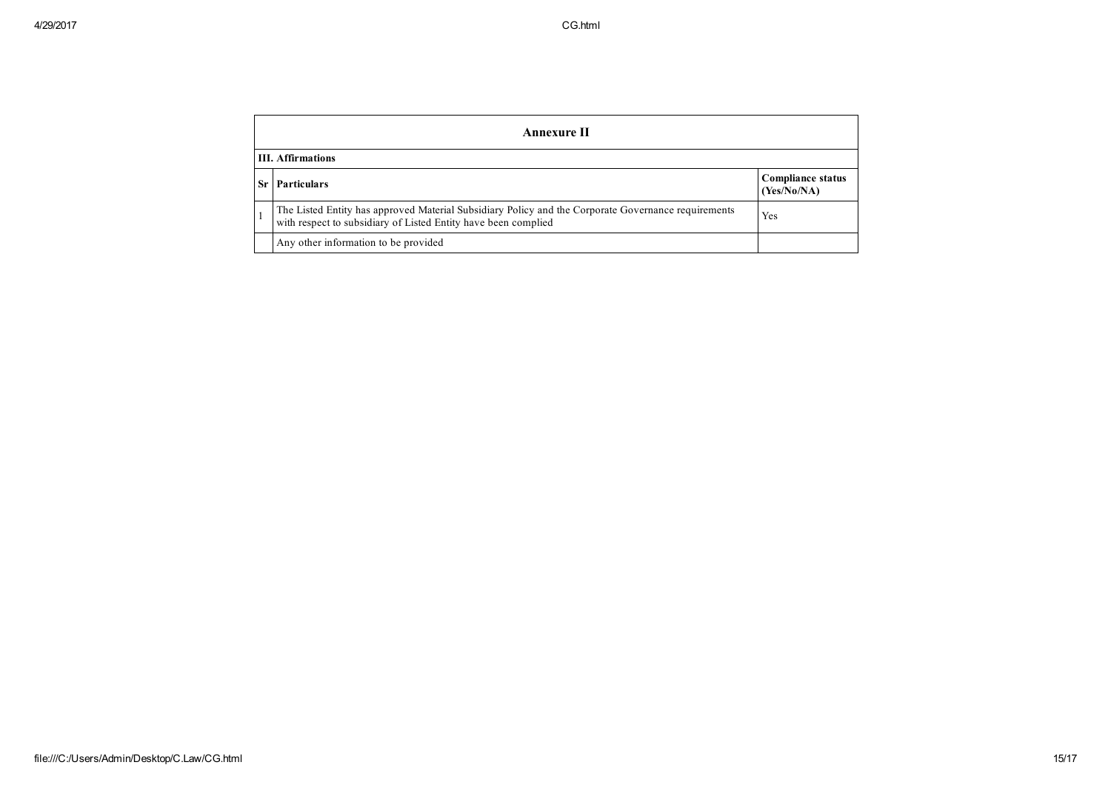|                          | Annexure II                                                                                                                                                           |                                         |  |  |  |  |
|--------------------------|-----------------------------------------------------------------------------------------------------------------------------------------------------------------------|-----------------------------------------|--|--|--|--|
| <b>III.</b> Affirmations |                                                                                                                                                                       |                                         |  |  |  |  |
| -Sr                      | <b>Particulars</b>                                                                                                                                                    | <b>Compliance status</b><br>(Yes/No/NA) |  |  |  |  |
|                          | The Listed Entity has approved Material Subsidiary Policy and the Corporate Governance requirements<br>with respect to subsidiary of Listed Entity have been complied | Yes                                     |  |  |  |  |
|                          | Any other information to be provided                                                                                                                                  |                                         |  |  |  |  |